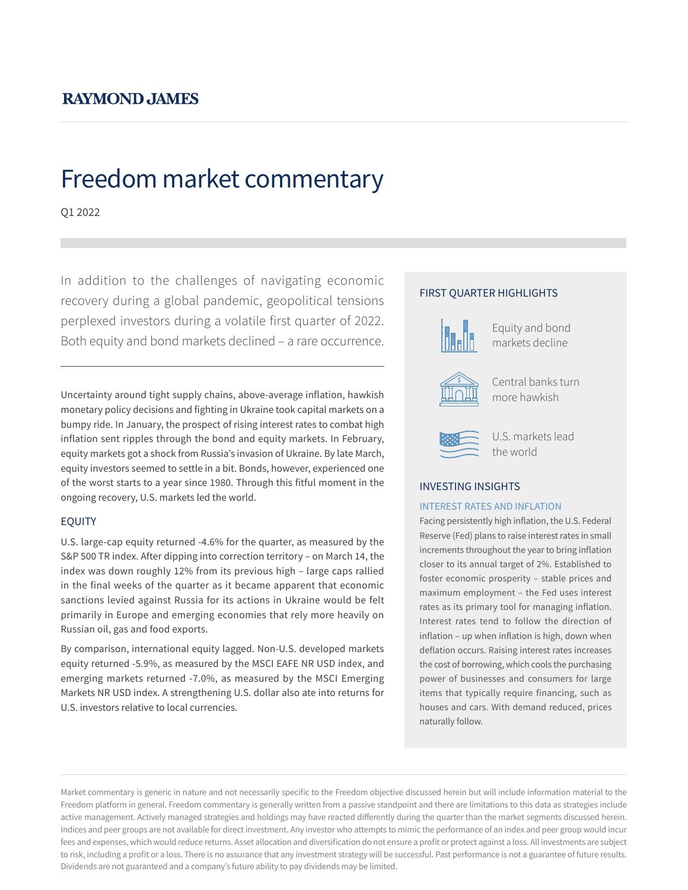# **RAYMOND JAMES**

# Freedom market commentary

Q1 2022

In addition to the challenges of navigating economic recovery during a global pandemic, geopolitical tensions perplexed investors during a volatile first quarter of 2022. Both equity and bond markets declined – a rare occurrence.

Uncertainty around tight supply chains, above-average inflation, hawkish monetary policy decisions and fighting in Ukraine took capital markets on a bumpy ride. In January, the prospect of rising interest rates to combat high inflation sent ripples through the bond and equity markets. In February, equity markets got a shock from Russia's invasion of Ukraine. By late March, equity investors seemed to settle in a bit. Bonds, however, experienced one of the worst starts to a year since 1980. Through this fitful moment in the ongoing recovery, U.S. markets led the world.

### EQUITY

U.S. large-cap equity returned -4.6% for the quarter, as measured by the S&P 500 TR index. After dipping into correction territory – on March 14, the index was down roughly 12% from its previous high – large caps rallied in the final weeks of the quarter as it became apparent that economic sanctions levied against Russia for its actions in Ukraine would be felt primarily in Europe and emerging economies that rely more heavily on Russian oil, gas and food exports.

By comparison, international equity lagged. Non-U.S. developed markets equity returned -5.9%, as measured by the MSCI EAFE NR USD index, and emerging markets returned -7.0%, as measured by the MSCI Emerging Markets NR USD index. A strengthening U.S. dollar also ate into returns for U.S. investors relative to local currencies.

## FIRST QUARTER HIGHLIGHTS



Equity and bond markets decline



Central banks turn more hawkish



U.S. markets lead the world

### INVESTING INSIGHTS

#### INTEREST RATES AND INFLATION

Facing persistently high inflation, the U.S. Federal Reserve (Fed) plans to raise interest rates in small increments throughout the year to bring inflation closer to its annual target of 2%. Established to foster economic prosperity – stable prices and maximum employment – the Fed uses interest rates as its primary tool for managing inflation. Interest rates tend to follow the direction of inflation – up when inflation is high, down when deflation occurs. Raising interest rates increases the cost of borrowing, which cools the purchasing power of businesses and consumers for large items that typically require financing, such as houses and cars. With demand reduced, prices naturally follow.

Market commentary is generic in nature and not necessarily specific to the Freedom objective discussed herein but will include information material to the Freedom platform in general. Freedom commentary is generally written from a passive standpoint and there are limitations to this data as strategies include active management. Actively managed strategies and holdings may have reacted differently during the quarter than the market segments discussed herein. Indices and peer groups are not available for direct investment. Any investor who attempts to mimic the performance of an index and peer group would incur fees and expenses, which would reduce returns. Asset allocation and diversification do not ensure a profit or protect against a loss. All investments are subject to risk, including a profit or a loss. There is no assurance that any investment strategy will be successful. Past performance is not a guarantee of future results. Dividends are not guaranteed and a company's future ability to pay dividends may be limited.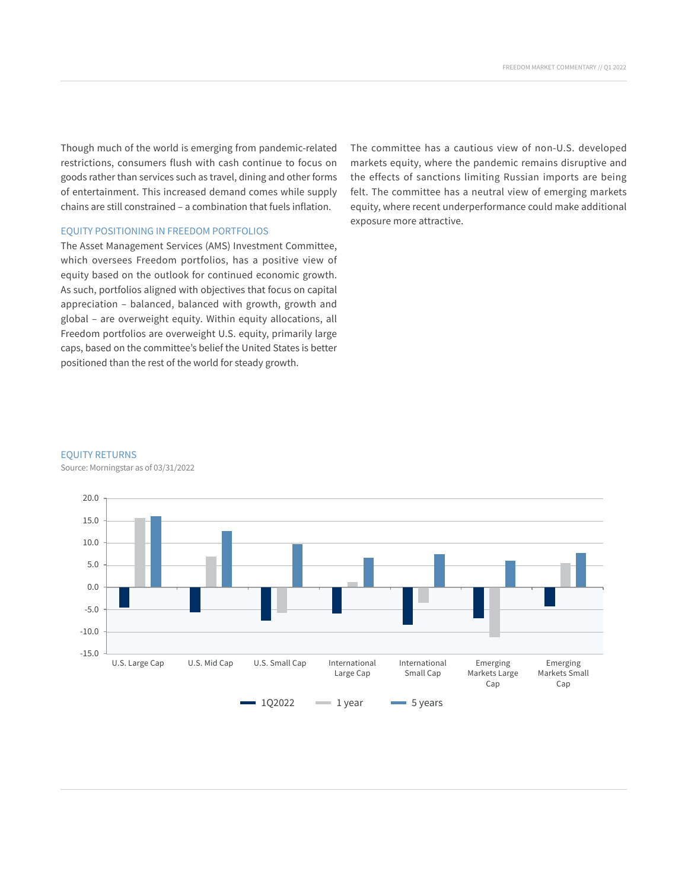Though much of the world is emerging from pandemic-related restrictions, consumers flush with cash continue to focus on goods rather than services such as travel, dining and other forms of entertainment. This increased demand comes while supply chains are still constrained – a combination that fuels inflation.

#### EQUITY POSITIONING IN FREEDOM PORTFOLIOS

The Asset Management Services (AMS) Investment Committee, which oversees Freedom portfolios, has a positive view of equity based on the outlook for continued economic growth. As such, portfolios aligned with objectives that focus on capital appreciation – balanced, balanced with growth, growth and global – are overweight equity. Within equity allocations, all Freedom portfolios are overweight U.S. equity, primarily large caps, based on the committee's belief the United States is better positioned than the rest of the world for steady growth.

The committee has a cautious view of non-U.S. developed markets equity, where the pandemic remains disruptive and the effects of sanctions limiting Russian imports are being felt. The committee has a neutral view of emerging markets equity, where recent underperformance could make additional exposure more attractive.

#### EQUITY RETURNS

Source: Morningstar as of 03/31/2022

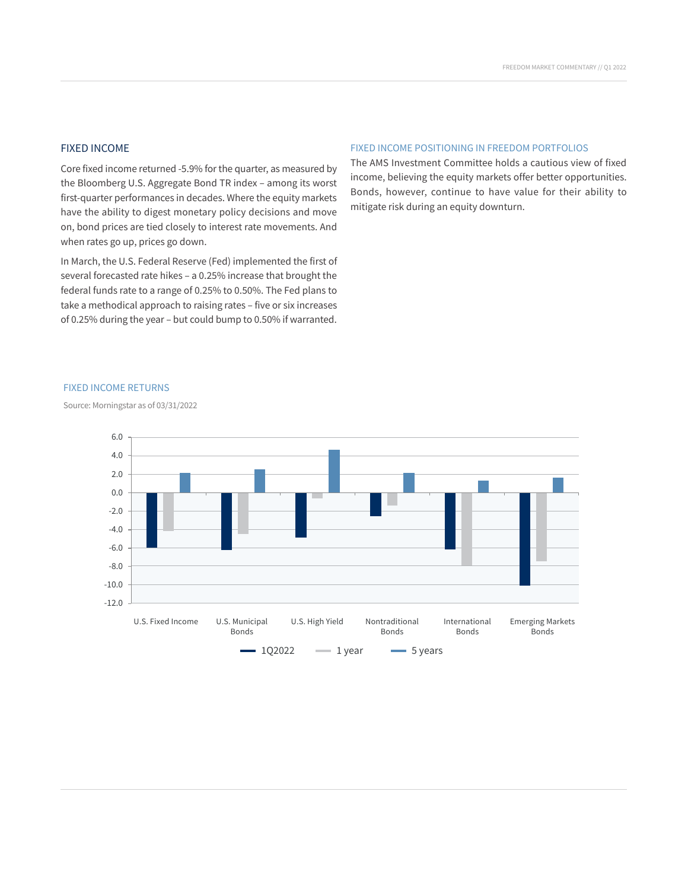# FIXED INCOME

Core fixed income returned -5.9% for the quarter, as measured by 5.0 the Bloomberg U.S. Aggregate Bond TR index – among its worst first-quarter performances in decades. Where the equity markets have the ability to digest monetary policy decisions and move on, bond prices are tied closely to interest rate movements. And when rates go up, prices go down.

In March, the U.S. Federal Reserve (Fed) implemented the first of several forecasted rate hikes – a 0.25% increase that brought the federal funds rate to a range of 0.25% to 0.50%. The Fed plans to  $\frac{1}{2}$  take a methodical approach to raising rates – five or six increases of 0.25% during the year – but could bump to 0.50% if warranted. Large Cap

### FIXED INCOME POSITIONING IN FREEDOM PORTFOLIOS

The AMS Investment Committee holds a cautious view of fixed income, believing the equity markets offer better opportunities. Bonds, however, continue to have value for their ability to mitigate risk during an equity downturn.

#### FIXED INCOME RETURNS

Source: Morningstar as of 03/31/2022

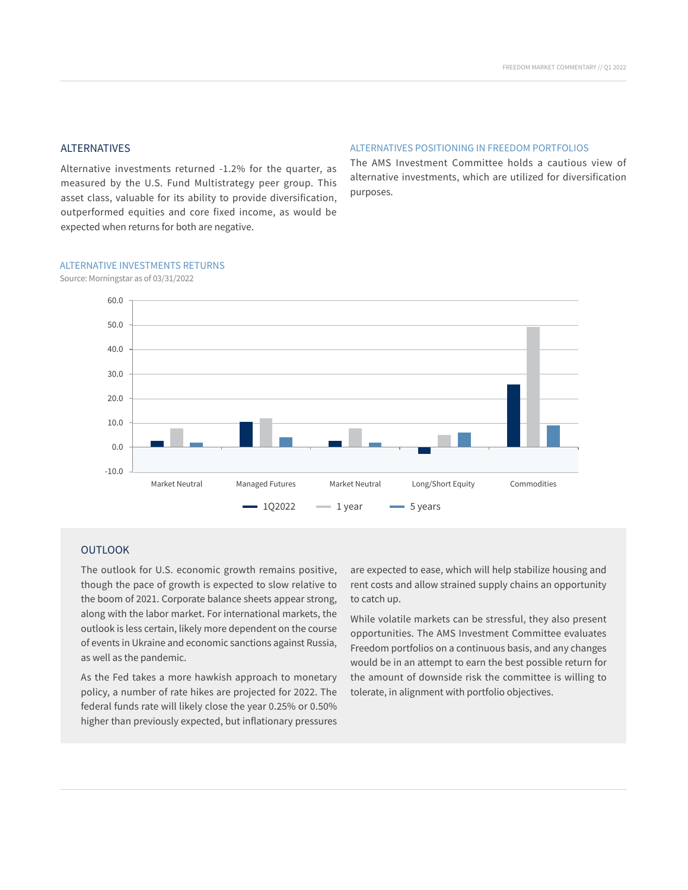#### ALTERNATIVES

Alternative investments returned -1.2% for the quarter, as measured by the U.S. Fund Multistrategy peer group. This asset class, valuable for its ability to provide diversification, purposes. outperformed equities and core fixed income, as would be expected when returns for both are negative.

#### ALTERNATIVES POSITIONING IN FREEDOM PORTFOLIOS

Uniter as The AMS Investment Committee holds a cautious view of alternative investments, which are utilized for diversification purposes.

#### ALTERNATIVE INVESTMENTS RETURNS

Source: Morningstar as of 03/31/2022



#### **OUTLOOK**

The outlook for U.S. economic growth remains positive, though the pace of growth is expected to slow relative to the boom of 2021. Corporate balance sheets appear strong, along with the labor market. For international markets, the outlook is less certain, likely more dependent on the course of events in Ukraine and economic sanctions against Russia, as well as the pandemic.

As the Fed takes a more hawkish approach to monetary policy, a number of rate hikes are projected for 2022. The federal funds rate will likely close the year 0.25% or 0.50% higher than previously expected, but inflationary pressures

are expected to ease, which will help stabilize housing and rent costs and allow strained supply chains an opportunity to catch up.

While volatile markets can be stressful, they also present opportunities. The AMS Investment Committee evaluates Freedom portfolios on a continuous basis, and any changes would be in an attempt to earn the best possible return for the amount of downside risk the committee is willing to tolerate, in alignment with portfolio objectives.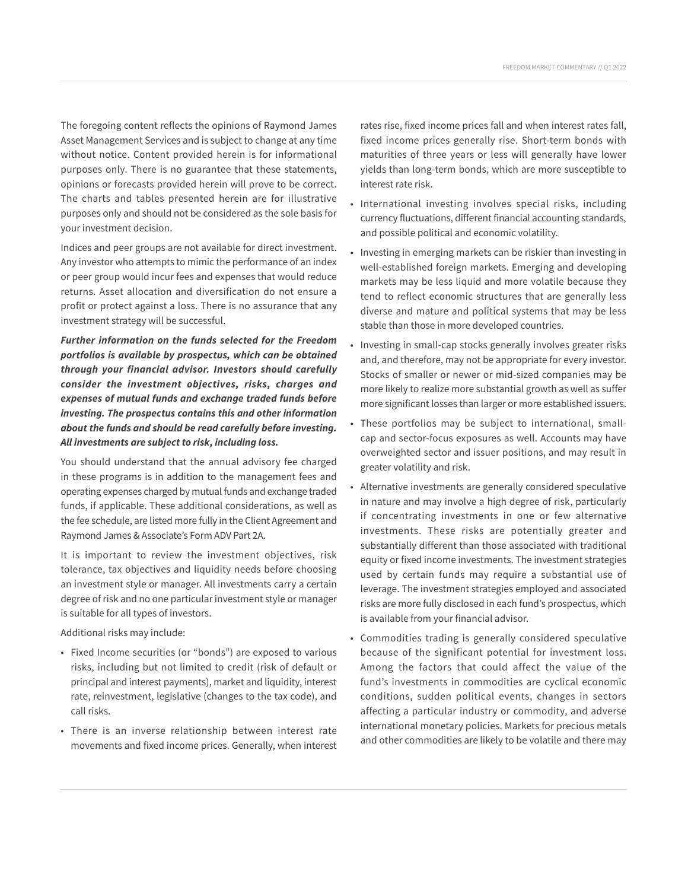The foregoing content reflects the opinions of Raymond James Asset Management Services and is subject to change at any time without notice. Content provided herein is for informational purposes only. There is no guarantee that these statements, opinions or forecasts provided herein will prove to be correct. The charts and tables presented herein are for illustrative purposes only and should not be considered as the sole basis for your investment decision.

Indices and peer groups are not available for direct investment. Any investor who attempts to mimic the performance of an index or peer group would incur fees and expenses that would reduce returns. Asset allocation and diversification do not ensure a profit or protect against a loss. There is no assurance that any investment strategy will be successful.

*Further information on the funds selected for the Freedom portfolios is available by prospectus, which can be obtained through your financial advisor. Investors should carefully consider the investment objectives, risks, charges and expenses of mutual funds and exchange traded funds before investing. The prospectus contains this and other information about the funds and should be read carefully before investing. All investments are subject to risk, including loss.*

You should understand that the annual advisory fee charged in these programs is in addition to the management fees and operating expenses charged by mutual funds and exchange traded funds, if applicable. These additional considerations, as well as the fee schedule, are listed more fully in the Client Agreement and Raymond James & Associate's Form ADV Part 2A.

It is important to review the investment objectives, risk tolerance, tax objectives and liquidity needs before choosing an investment style or manager. All investments carry a certain degree of risk and no one particular investment style or manager is suitable for all types of investors.

Additional risks may include:

- Fixed Income securities (or "bonds") are exposed to various risks, including but not limited to credit (risk of default or principal and interest payments), market and liquidity, interest rate, reinvestment, legislative (changes to the tax code), and call risks.
- There is an inverse relationship between interest rate movements and fixed income prices. Generally, when interest

rates rise, fixed income prices fall and when interest rates fall, fixed income prices generally rise. Short-term bonds with maturities of three years or less will generally have lower yields than long-term bonds, which are more susceptible to interest rate risk.

- International investing involves special risks, including currency fluctuations, different financial accounting standards, and possible political and economic volatility.
- Investing in emerging markets can be riskier than investing in well-established foreign markets. Emerging and developing markets may be less liquid and more volatile because they tend to reflect economic structures that are generally less diverse and mature and political systems that may be less stable than those in more developed countries.
- Investing in small-cap stocks generally involves greater risks and, and therefore, may not be appropriate for every investor. Stocks of smaller or newer or mid-sized companies may be more likely to realize more substantial growth as well as suffer more significant losses than larger or more established issuers.
- These portfolios may be subject to international, smallcap and sector-focus exposures as well. Accounts may have overweighted sector and issuer positions, and may result in greater volatility and risk.
- Alternative investments are generally considered speculative in nature and may involve a high degree of risk, particularly if concentrating investments in one or few alternative investments. These risks are potentially greater and substantially different than those associated with traditional equity or fixed income investments. The investment strategies used by certain funds may require a substantial use of leverage. The investment strategies employed and associated risks are more fully disclosed in each fund's prospectus, which is available from your financial advisor.
- Commodities trading is generally considered speculative because of the significant potential for investment loss. Among the factors that could affect the value of the fund's investments in commodities are cyclical economic conditions, sudden political events, changes in sectors affecting a particular industry or commodity, and adverse international monetary policies. Markets for precious metals and other commodities are likely to be volatile and there may